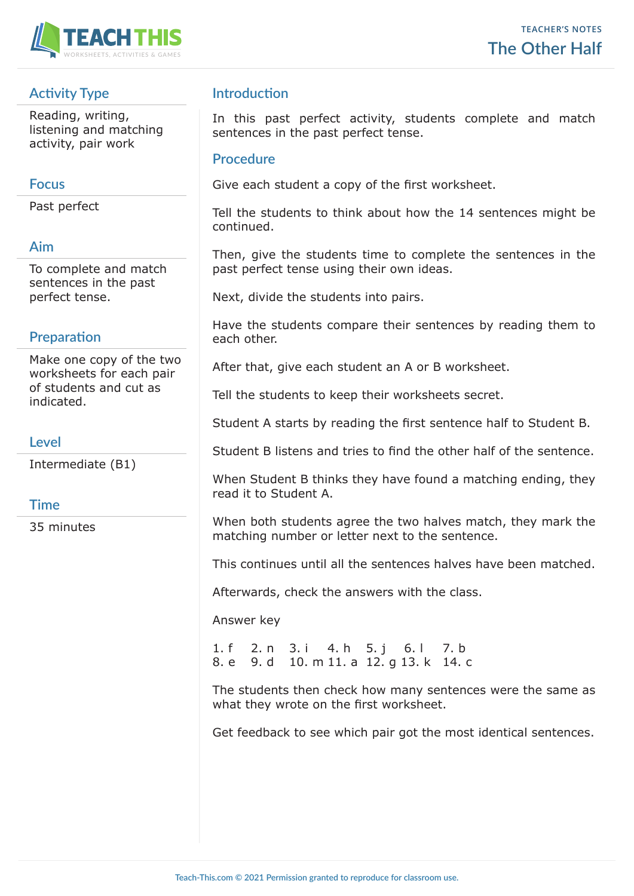

# **Activity Type**

Reading, writing, listening and matching activity, pair work

### **Focus**

Past perfect

### **Aim**

To complete and match sentences in the past perfect tense.

# **Preparation**

Make one copy of the two worksheets for each pair of students and cut as indicated.

## **Level**

Intermediate (B1)

## **Time**

35 minutes

# **Introduction**

In this past perfect activity, students complete and match sentences in the past perfect tense.

#### **Procedure**

Give each student a copy of the first worksheet.

Tell the students to think about how the 14 sentences might be continued.

Then, give the students time to complete the sentences in the past perfect tense using their own ideas.

Next, divide the students into pairs.

Have the students compare their sentences by reading them to each other.

After that, give each student an A or B worksheet.

Tell the students to keep their worksheets secret.

Student A starts by reading the first sentence half to Student B.

Student B listens and tries to find the other half of the sentence.

When Student B thinks they have found a matching ending, they read it to Student A.

When both students agree the two halves match, they mark the matching number or letter next to the sentence.

This continues until all the sentences halves have been matched.

Afterwards, check the answers with the class.

Answer key

1. f 2. n 3. i 4. h 5. j 6. l 7. b 8. e 9. d 10. m 11. a 12. g 13. k 14. c

The students then check how many sentences were the same as what they wrote on the first worksheet.

Get feedback to see which pair got the most identical sentences.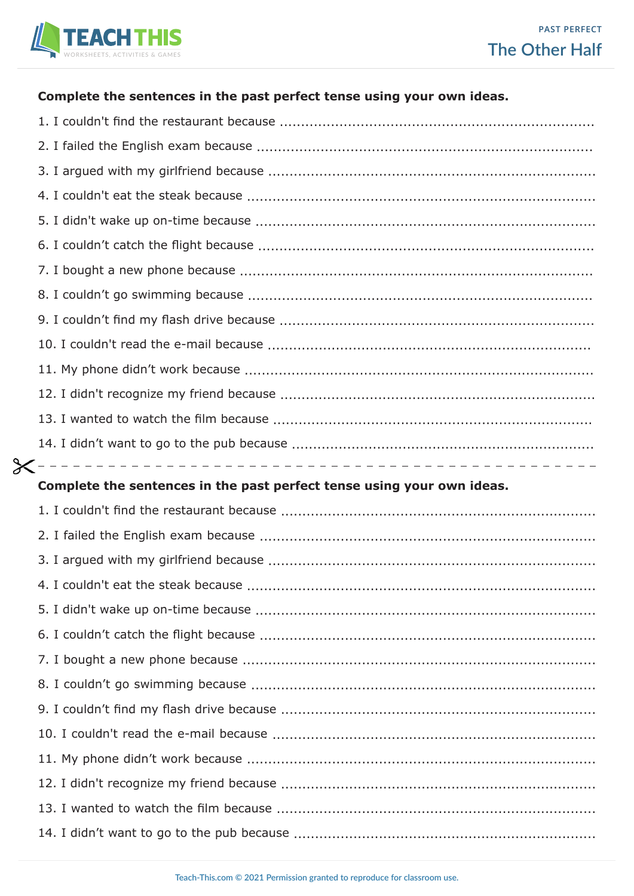

# **Complete the sentences in the past perfect tense using your own ideas.**

1. I couldn't find the restaurant because ..........................................................................

| Complete the sentences in the past perfect tense using your own ideas. |
|------------------------------------------------------------------------|
|                                                                        |
|                                                                        |
|                                                                        |
|                                                                        |
|                                                                        |
|                                                                        |
|                                                                        |
|                                                                        |
|                                                                        |
|                                                                        |
|                                                                        |
|                                                                        |
|                                                                        |
|                                                                        |